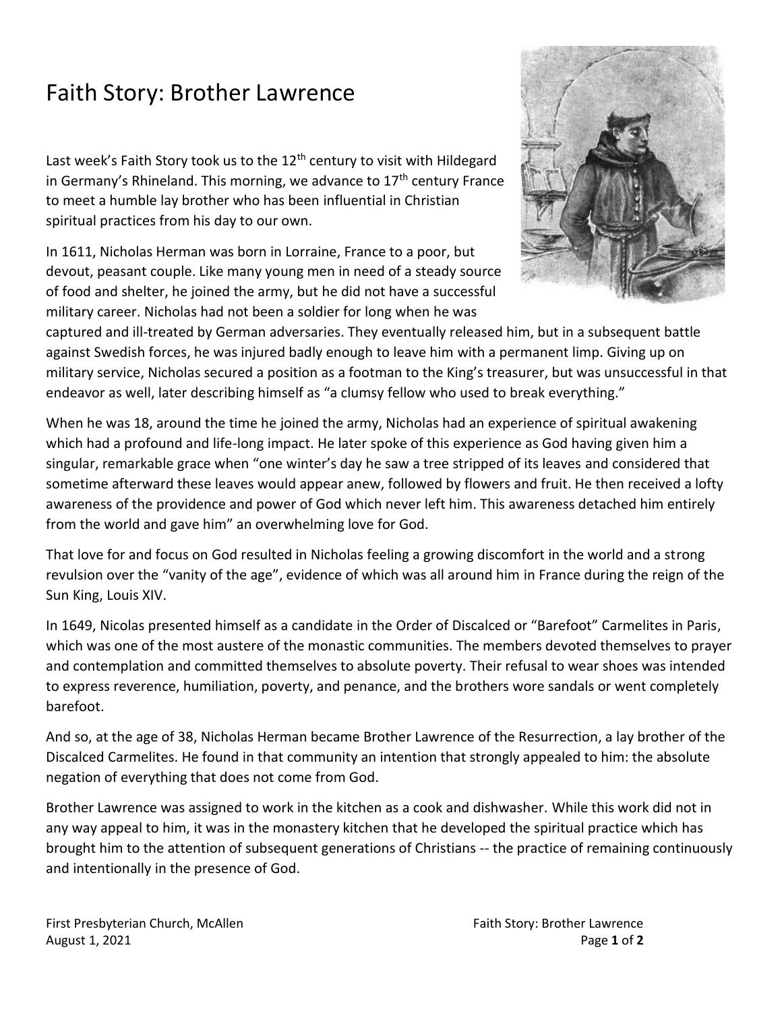## Faith Story: Brother Lawrence

Last week's Faith Story took us to the  $12<sup>th</sup>$  century to visit with Hildegard in Germany's Rhineland. This morning, we advance to  $17<sup>th</sup>$  century France to meet a humble lay brother who has been influential in Christian spiritual practices from his day to our own.

In 1611, Nicholas Herman was born in Lorraine, France to a poor, but devout, peasant couple. Like many young men in need of a steady source of food and shelter, he joined the army, but he did not have a successful military career. Nicholas had not been a soldier for long when he was



captured and ill-treated by German adversaries. They eventually released him, but in a subsequent battle against Swedish forces, he was injured badly enough to leave him with a permanent limp. Giving up on military service, Nicholas secured a position as a footman to the King's treasurer, but was unsuccessful in that endeavor as well, later describing himself as "a clumsy fellow who used to break everything."

When he was 18, around the time he joined the army, Nicholas had an experience of spiritual awakening which had a profound and life-long impact. He later spoke of this experience as God having given him a singular, remarkable grace when "one winter's day he saw a tree stripped of its leaves and considered that sometime afterward these leaves would appear anew, followed by flowers and fruit. He then received a lofty awareness of the providence and power of God which never left him. This awareness detached him entirely from the world and gave him" an overwhelming love for God.

That love for and focus on God resulted in Nicholas feeling a growing discomfort in the world and a strong revulsion over the "vanity of the age", evidence of which was all around him in France during the reign of the Sun King, Louis XIV.

In 1649, Nicolas presented himself as a candidate in the Order of Discalced or "Barefoot" Carmelites in Paris, which was one of the most austere of the monastic communities. The members devoted themselves to prayer and contemplation and committed themselves to absolute poverty. Their refusal to wear shoes was intended to express reverence, humiliation, poverty, and penance, and the brothers wore sandals or went completely barefoot.

And so, at the age of 38, Nicholas Herman became Brother Lawrence of the Resurrection, a lay brother of the Discalced Carmelites. He found in that community an intention that strongly appealed to him: the absolute negation of everything that does not come from God.

Brother Lawrence was assigned to work in the kitchen as a cook and dishwasher. While this work did not in any way appeal to him, it was in the monastery kitchen that he developed the spiritual practice which has brought him to the attention of subsequent generations of Christians -- the practice of remaining continuously and intentionally in the presence of God.